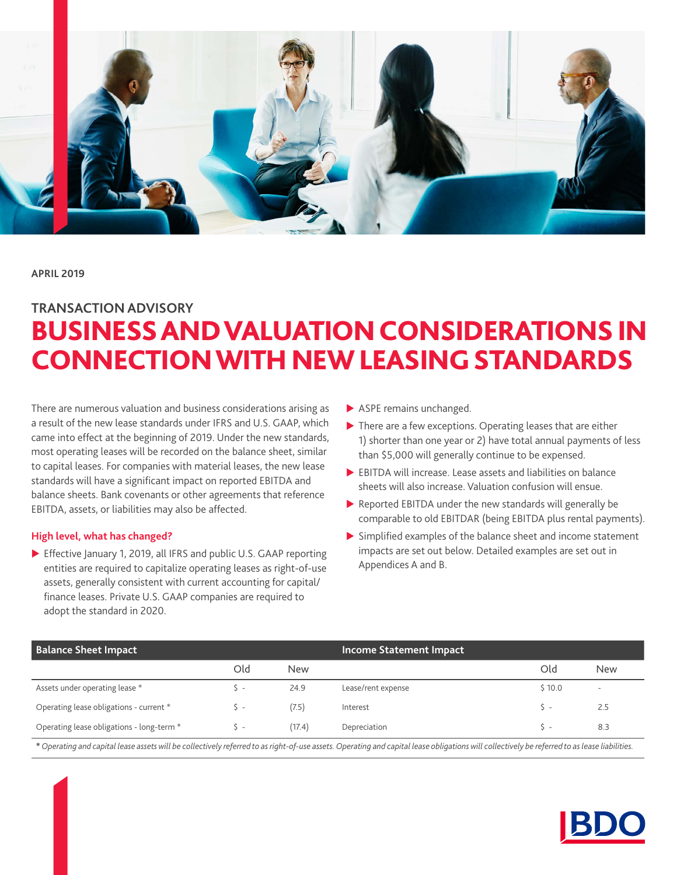

**APRIL 2019**

# BUSINESS AND VALUATION CONSIDERATIONS IN CONNECTION WITH NEW LEASING STANDARDS **TRANSACTION ADVISORY**

There are numerous valuation and business considerations arising as a result of the new lease standards under IFRS and U.S. GAAP, which came into effect at the beginning of 2019. Under the new standards, most operating leases will be recorded on the balance sheet, similar to capital leases. For companies with material leases, the new lease standards will have a significant impact on reported EBITDA and balance sheets. Bank covenants or other agreements that reference EBITDA, assets, or liabilities may also be affected.

# **High level, what has changed?**

Effective January 1, 2019, all IFRS and public U.S. GAAP reporting entities are required to capitalize operating leases as right-of-use assets, generally consistent with current accounting for capital/ finance leases. Private U.S. GAAP companies are required to adopt the standard in 2020.

- $\blacktriangleright$  ASPE remains unchanged.
- $\blacktriangleright$  There are a few exceptions. Operating leases that are either 1) shorter than one year or 2) have total annual payments of less than \$5,000 will generally continue to be expensed.
- $\blacktriangleright$  EBITDA will increase. Lease assets and liabilities on balance sheets will also increase. Valuation confusion will ensue.
- $\blacktriangleright$  Reported EBITDA under the new standards will generally be comparable to old EBITDAR (being EBITDA plus rental payments).
- $\triangleright$  Simplified examples of the balance sheet and income statement impacts are set out below. Detailed examples are set out in Appendices A and B.

| <b>Balance Sheet Impact</b>               |                |            | <b>Income Statement Impact</b> |        |                          |
|-------------------------------------------|----------------|------------|--------------------------------|--------|--------------------------|
|                                           | Old            | <b>New</b> |                                | Old    | <b>New</b>               |
| Assets under operating lease *            | $\overline{a}$ | 24.9       | Lease/rent expense             | \$10.0 | $\overline{\phantom{a}}$ |
| Operating lease obligations - current *   |                | (7.5)      | Interest                       | $S -$  | 2.5                      |
| Operating lease obligations - long-term * |                | (17.4)     | Depreciation                   | ╰ -    | 8.3                      |

**\*** *Operating and capital lease assets will be collectively referred to as right-of-use assets. Operating and capital lease obligations will collectively be referred to as lease liabilities.*

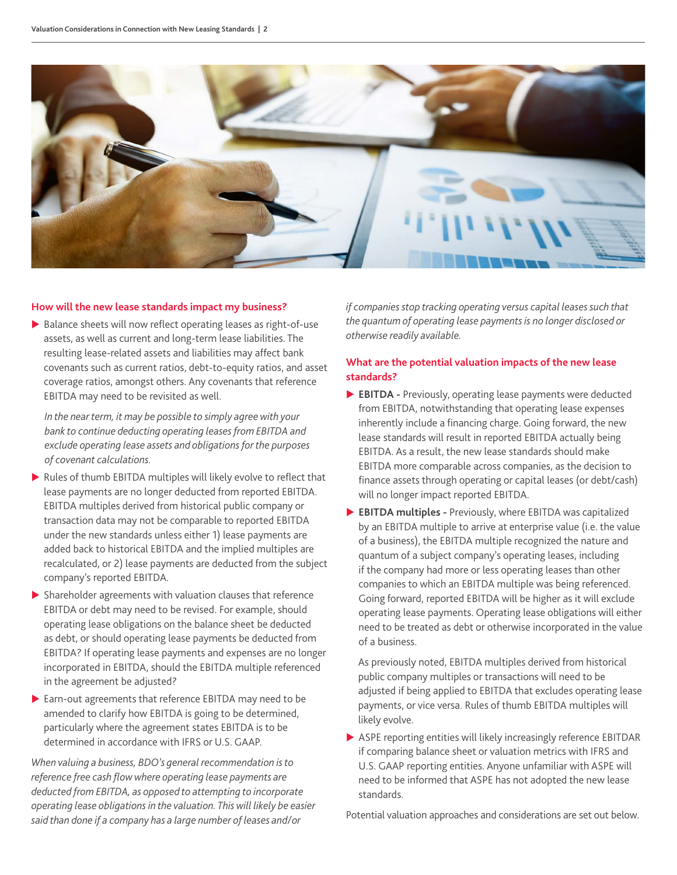

#### **How will the new lease standards impact my business?**

 $\blacktriangleright$  Balance sheets will now reflect operating leases as right-of-use assets, as well as current and long-term lease liabilities. The resulting lease-related assets and liabilities may affect bank covenants such as current ratios, debt-to-equity ratios, and asset coverage ratios, amongst others. Any covenants that reference EBITDA may need to be revisited as well.

*In the near term, it may be possible to simply agree with your bank to continue deducting operating leases from EBITDA and exclude operating lease assets and obligations for the purposes of covenant calculations.*

- $\triangleright$  Rules of thumb EBITDA multiples will likely evolve to reflect that lease payments are no longer deducted from reported EBITDA. EBITDA multiples derived from historical public company or transaction data may not be comparable to reported EBITDA under the new standards unless either 1) lease payments are added back to historical EBITDA and the implied multiples are recalculated, or 2) lease payments are deducted from the subject company's reported EBITDA.
- $\blacktriangleright$  Shareholder agreements with valuation clauses that reference EBITDA or debt may need to be revised. For example, should operating lease obligations on the balance sheet be deducted as debt, or should operating lease payments be deducted from EBITDA? If operating lease payments and expenses are no longer incorporated in EBITDA, should the EBITDA multiple referenced in the agreement be adjusted?
- Earn-out agreements that reference EBITDA may need to be amended to clarify how EBITDA is going to be determined, particularly where the agreement states EBITDA is to be determined in accordance with IFRS or U.S. GAAP.

*When valuing a business, BDO's general recommendation is to reference free cash flow where operating lease payments are deducted from EBITDA, as opposed to attempting to incorporate operating lease obligations in the valuation. This will likely be easier said than done if a company has a large number of leases and/or* 

*if companies stop tracking operating versus capital leases such that the quantum of operating lease payments is no longer disclosed or otherwise readily available.*

# **What are the potential valuation impacts of the new lease standards?**

- **EBITDA** Previously, operating lease payments were deducted from EBITDA, notwithstanding that operating lease expenses inherently include a financing charge. Going forward, the new lease standards will result in reported EBITDA actually being EBITDA. As a result, the new lease standards should make EBITDA more comparable across companies, as the decision to finance assets through operating or capital leases (or debt/cash) will no longer impact reported EBITDA.
- X **EBITDA multiples -** Previously, where EBITDA was capitalized by an EBITDA multiple to arrive at enterprise value (i.e. the value of a business), the EBITDA multiple recognized the nature and quantum of a subject company's operating leases, including if the company had more or less operating leases than other companies to which an EBITDA multiple was being referenced. Going forward, reported EBITDA will be higher as it will exclude operating lease payments. Operating lease obligations will either need to be treated as debt or otherwise incorporated in the value of a business.

As previously noted, EBITDA multiples derived from historical public company multiples or transactions will need to be adjusted if being applied to EBITDA that excludes operating lease payments, or vice versa. Rules of thumb EBITDA multiples will likely evolve.

 $\triangleright$  ASPE reporting entities will likely increasingly reference EBITDAR if comparing balance sheet or valuation metrics with IFRS and U.S. GAAP reporting entities. Anyone unfamiliar with ASPE will need to be informed that ASPE has not adopted the new lease standards.

Potential valuation approaches and considerations are set out below.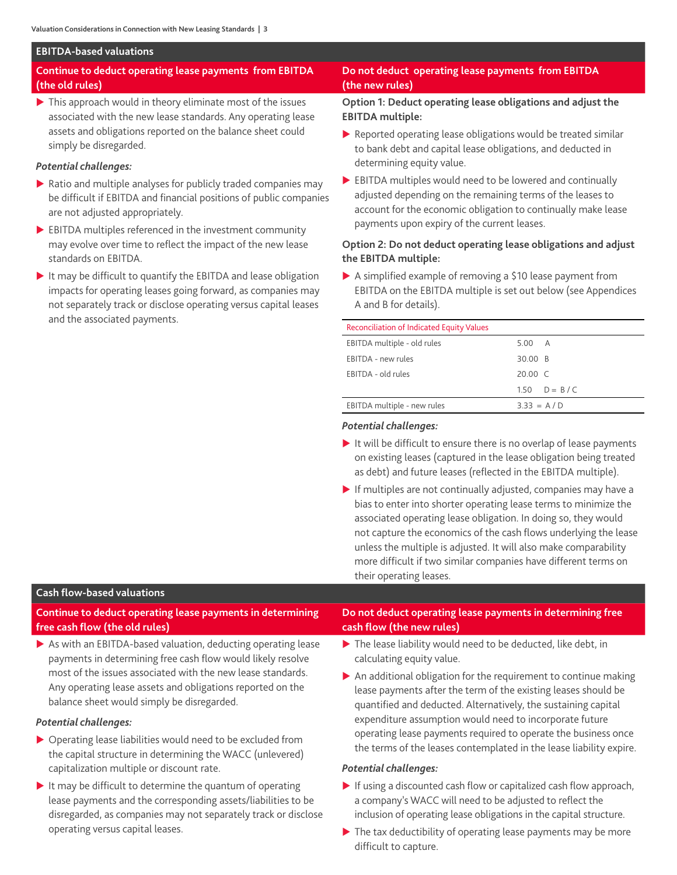#### **EBITDA-based valuations**

# **Continue to deduct operating lease payments from EBITDA (the old rules)**

 $\blacktriangleright$  This approach would in theory eliminate most of the issues associated with the new lease standards. Any operating lease assets and obligations reported on the balance sheet could simply be disregarded.

# *Potential challenges:*

- $\triangleright$  Ratio and multiple analyses for publicly traded companies may be difficult if EBITDA and financial positions of public companies are not adjusted appropriately.
- $\blacktriangleright$  EBITDA multiples referenced in the investment community may evolve over time to reflect the impact of the new lease standards on EBITDA.
- $\blacktriangleright$  It may be difficult to quantify the EBITDA and lease obligation impacts for operating leases going forward, as companies may not separately track or disclose operating versus capital leases and the associated payments.

# **Do not deduct operating lease payments from EBITDA (the new rules)**

# **Option 1: Deduct operating lease obligations and adjust the EBITDA multiple:**

- $\blacktriangleright$  Reported operating lease obligations would be treated similar to bank debt and capital lease obligations, and deducted in determining equity value.
- $\blacktriangleright$  EBITDA multiples would need to be lowered and continually adjusted depending on the remaining terms of the leases to account for the economic obligation to continually make lease payments upon expiry of the current leases.

# **Option 2: Do not deduct operating lease obligations and adjust the EBITDA multiple:**

 $\triangleright$  A simplified example of removing a \$10 lease payment from EBITDA on the EBITDA multiple is set out below (see Appendices A and B for details).

## Reconciliation of Indicated Equity Values

| EBITDA multiple - old rules | 5.00 A            |
|-----------------------------|-------------------|
| EBITDA - new rules          | 30.00 B           |
| EBITDA - old rules          | $20.00 \text{ C}$ |
|                             | 1.50 $D = B / C$  |
| EBITDA multiple - new rules | $3.33 = A/D$      |
|                             |                   |

# *Potential challenges:*

- $\blacktriangleright$  It will be difficult to ensure there is no overlap of lease payments on existing leases (captured in the lease obligation being treated as debt) and future leases (reflected in the EBITDA multiple).
- $\blacktriangleright$  If multiples are not continually adjusted, companies may have a bias to enter into shorter operating lease terms to minimize the associated operating lease obligation. In doing so, they would not capture the economics of the cash flows underlying the lease unless the multiple is adjusted. It will also make comparability more difficult if two similar companies have different terms on their operating leases.

#### **Cash flow-based valuations**

**Continue to deduct operating lease payments in determining free cash flow (the old rules)**

 $\triangleright$  As with an EBITDA-based valuation, deducting operating lease payments in determining free cash flow would likely resolve most of the issues associated with the new lease standards. Any operating lease assets and obligations reported on the balance sheet would simply be disregarded.

#### *Potential challenges:*

- $\triangleright$  Operating lease liabilities would need to be excluded from the capital structure in determining the WACC (unlevered) capitalization multiple or discount rate.
- $\blacktriangleright$  It may be difficult to determine the quantum of operating lease payments and the corresponding assets/liabilities to be disregarded, as companies may not separately track or disclose operating versus capital leases.

# **Do not deduct operating lease payments in determining free cash flow (the new rules)**

- $\blacktriangleright$  The lease liability would need to be deducted, like debt, in calculating equity value.
- $\triangleright$  An additional obligation for the requirement to continue making lease payments after the term of the existing leases should be quantified and deducted. Alternatively, the sustaining capital expenditure assumption would need to incorporate future operating lease payments required to operate the business once the terms of the leases contemplated in the lease liability expire.

#### *Potential challenges:*

- $\blacktriangleright$  If using a discounted cash flow or capitalized cash flow approach, a company's WACC will need to be adjusted to reflect the inclusion of operating lease obligations in the capital structure.
- $\blacktriangleright$  The tax deductibility of operating lease payments may be more difficult to capture.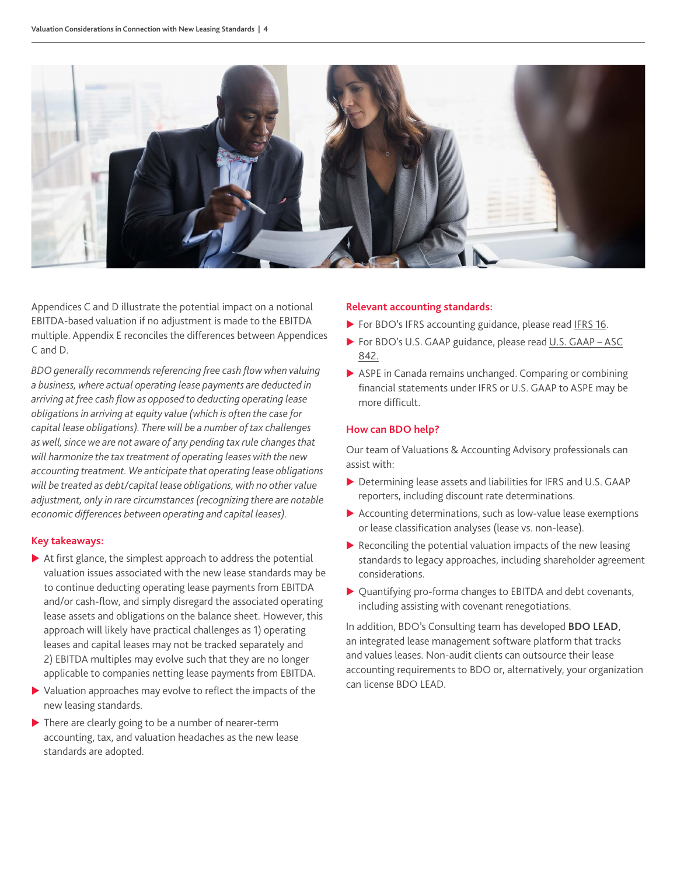

Appendices C and D illustrate the potential impact on a notional EBITDA-based valuation if no adjustment is made to the EBITDA multiple. Appendix E reconciles the differences between Appendices C and D.

*BDO generally recommends referencing free cash flow when valuing a business, where actual operating lease payments are deducted in arriving at free cash flow as opposed to deducting operating lease obligations in arriving at equity value (which is often the case for capital lease obligations). There will be a number of tax challenges as well, since we are not aware of any pending tax rule changes that will harmonize the tax treatment of operating leases with the new accounting treatment. We anticipate that operating lease obligations will be treated as debt/capital lease obligations, with no other value adjustment, only in rare circumstances (recognizing there are notable economic differences between operating and capital leases).* 

#### **Key takeaways:**

- $\blacktriangleright$  At first glance, the simplest approach to address the potential valuation issues associated with the new lease standards may be to continue deducting operating lease payments from EBITDA and/or cash-flow, and simply disregard the associated operating lease assets and obligations on the balance sheet. However, this approach will likely have practical challenges as 1) operating leases and capital leases may not be tracked separately and 2) EBITDA multiples may evolve such that they are no longer applicable to companies netting lease payments from EBITDA.
- $\blacktriangleright$  Valuation approaches may evolve to reflect the impacts of the new leasing standards.
- $\blacktriangleright$  There are clearly going to be a number of nearer-term accounting, tax, and valuation headaches as the new lease standards are adopted.

## **Relevant accounting standards:**

- ▶ For BDO's IFRS accounting guidance, please read [IFRS 16](https://www.bdo.global/getattachment/Services/Audit-Accounting/IFRS/Need-to-Know/NTK_IFRS16_print.pdf.aspx?lang=en-GB).
- ▶ For BDO's U.S. GAAP guidance, please read [U.S. GAAP ASC](https://www.bdo.com/getattachment/7d41743b-395b-49ee-b818-f09266315053/attachment.aspx?BDO-Assurance-Practice-Aid-Leasing_7-16.pdf) [842.](https://www.bdo.com/getattachment/7d41743b-395b-49ee-b818-f09266315053/attachment.aspx?BDO-Assurance-Practice-Aid-Leasing_7-16.pdf)
- $\triangleright$  ASPE in Canada remains unchanged. Comparing or combining financial statements under IFRS or U.S. GAAP to ASPE may be more difficult.

# **How can BDO help?**

Our team of Valuations & Accounting Advisory professionals can assist with:

- ▶ Determining lease assets and liabilities for IFRS and U.S. GAAP reporters, including discount rate determinations.
- $\triangleright$  Accounting determinations, such as low-value lease exemptions or lease classification analyses (lease vs. non-lease).
- $\blacktriangleright$  Reconciling the potential valuation impacts of the new leasing standards to legacy approaches, including shareholder agreement considerations.
- ▶ Quantifying pro-forma changes to EBITDA and debt covenants, including assisting with covenant renegotiations.

In addition, BDO's Consulting team has developed **BDO LEAD**, an integrated lease management software platform that tracks and values leases. Non-audit clients can outsource their lease accounting requirements to BDO or, alternatively, your organization can license BDO LEAD.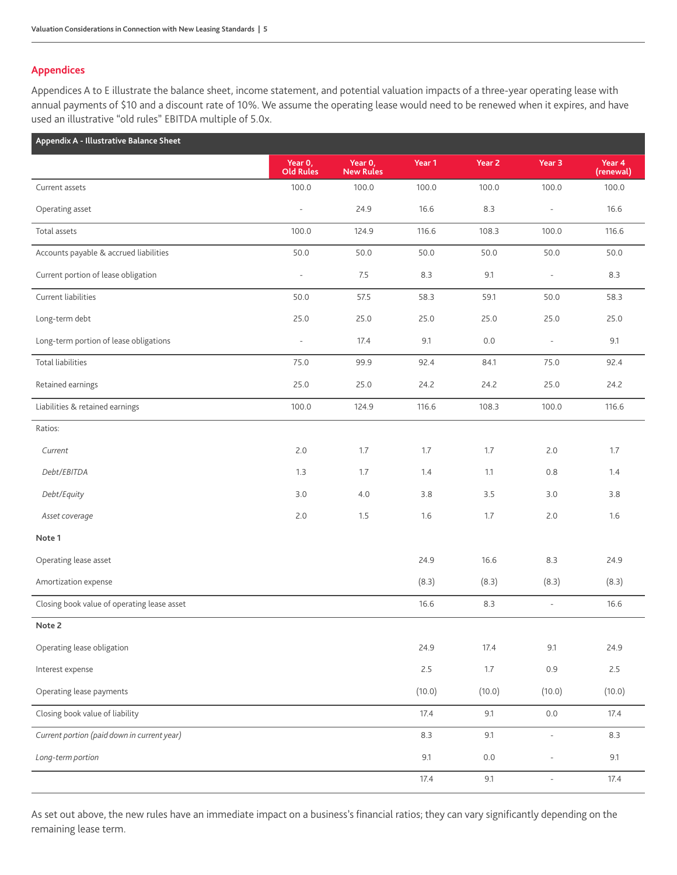# **Appendices**

Appendices A to E illustrate the balance sheet, income statement, and potential valuation impacts of a three-year operating lease with annual payments of \$10 and a discount rate of 10%. We assume the operating lease would need to be renewed when it expires, and have used an illustrative "old rules" EBITDA multiple of 5.0x.

| Appendix A - Illustrative Balance Sheet     |                             |                             |        |         |                          |                     |
|---------------------------------------------|-----------------------------|-----------------------------|--------|---------|--------------------------|---------------------|
|                                             | Year 0,<br><b>Old Rules</b> | Year 0,<br><b>New Rules</b> | Year 1 | Year 2  | Year 3                   | Year 4<br>(renewal) |
| Current assets                              | 100.0                       | 100.0                       | 100.0  | 100.0   | 100.0                    | 100.0               |
| Operating asset                             | $\bar{\phantom{a}}$         | 24.9                        | 16.6   | 8.3     | $\bar{a}$                | 16.6                |
| Total assets                                | 100.0                       | 124.9                       | 116.6  | 108.3   | 100.0                    | 116.6               |
| Accounts payable & accrued liabilities      | 50.0                        | 50.0                        | 50.0   | 50.0    | 50.0                     | 50.0                |
| Current portion of lease obligation         | $\bar{\phantom{a}}$         | 7.5                         | 8.3    | 9.1     | $\overline{\phantom{a}}$ | 8.3                 |
| Current liabilities                         | 50.0                        | 57.5                        | 58.3   | 59.1    | 50.0                     | 58.3                |
| Long-term debt                              | 25.0                        | 25.0                        | 25.0   | 25.0    | 25.0                     | 25.0                |
| Long-term portion of lease obligations      | $\overline{\phantom{a}}$    | 17.4                        | 9.1    | $0.0\,$ | $\overline{\phantom{a}}$ | 9.1                 |
| <b>Total liabilities</b>                    | 75.0                        | 99.9                        | 92.4   | 84.1    | 75.0                     | 92.4                |
| Retained earnings                           | 25.0                        | 25.0                        | 24.2   | 24.2    | 25.0                     | 24.2                |
| Liabilities & retained earnings             | 100.0                       | 124.9                       | 116.6  | 108.3   | 100.0                    | 116.6               |
| Ratios:                                     |                             |                             |        |         |                          |                     |
| Current                                     | 2.0                         | 1.7                         | 1.7    | 1.7     | 2.0                      | 1.7                 |
| Debt/EBITDA                                 | 1.3                         | 1.7                         | 1.4    | 1.1     | 0.8                      | 1.4                 |
| Debt/Equity                                 | 3.0                         | 4.0                         | 3.8    | 3.5     | 3.0                      | 3.8                 |
| Asset coverage                              | 2.0                         | 1.5                         | 1.6    | 1.7     | 2.0                      | 1.6                 |
| Note 1                                      |                             |                             |        |         |                          |                     |
| Operating lease asset                       |                             |                             | 24.9   | 16.6    | 8.3                      | 24.9                |
| Amortization expense                        |                             |                             | (8.3)  | (8.3)   | (8.3)                    | (8.3)               |
| Closing book value of operating lease asset |                             |                             | 16.6   | 8.3     | $\overline{\phantom{a}}$ | 16.6                |
| Note 2                                      |                             |                             |        |         |                          |                     |
| Operating lease obligation                  |                             |                             | 24.9   | 17.4    | 9.1                      | 24.9                |
| Interest expense                            |                             |                             | 2.5    | $1.7\,$ | 0.9                      | 2.5                 |
| Operating lease payments                    |                             |                             | (10.0) | (10.0)  | (10.0)                   | (10.0)              |
| Closing book value of liability             |                             |                             | 17.4   | 9.1     | $0.0\,$                  | 17.4                |
| Current portion (paid down in current year) |                             |                             | 8.3    | 9.1     | $\overline{\phantom{a}}$ | 8.3                 |
| Long-term portion                           |                             |                             | 9.1    | $0.0\,$ | L                        | 9.1                 |
|                                             |                             |                             | 17.4   | 9.1     | $\Box$                   | 17.4                |

As set out above, the new rules have an immediate impact on a business's financial ratios; they can vary significantly depending on the remaining lease term.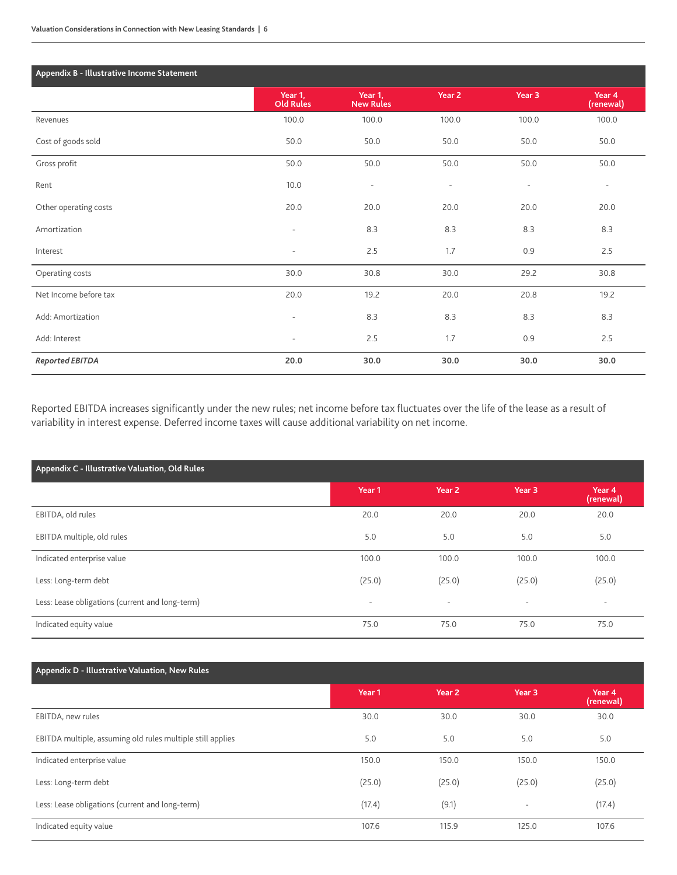| Appendix B - Illustrative Income Statement |                             |                             |                          |                          |                          |
|--------------------------------------------|-----------------------------|-----------------------------|--------------------------|--------------------------|--------------------------|
|                                            | Year 1,<br><b>Old Rules</b> | Year 1,<br><b>New Rules</b> | Year 2                   | Year <sub>3</sub>        | Year 4<br>(renewal)      |
| Revenues                                   | 100.0                       | 100.0                       | 100.0                    | 100.0                    | 100.0                    |
| Cost of goods sold                         | 50.0                        | 50.0                        | 50.0                     | 50.0                     | 50.0                     |
| Gross profit                               | 50.0                        | 50.0                        | 50.0                     | 50.0                     | 50.0                     |
| Rent                                       | 10.0                        | $\overline{\phantom{a}}$    | $\overline{\phantom{a}}$ | $\overline{\phantom{a}}$ | $\overline{\phantom{a}}$ |
| Other operating costs                      | 20.0                        | 20.0                        | 20.0                     | 20.0                     | 20.0                     |
| Amortization                               | $\overline{\phantom{a}}$    | 8.3                         | 8.3                      | 8.3                      | 8.3                      |
| Interest                                   | $\overline{\phantom{a}}$    | 2.5                         | 1.7                      | 0.9                      | 2.5                      |
| Operating costs                            | 30.0                        | 30.8                        | 30.0                     | 29.2                     | 30.8                     |
| Net Income before tax                      | 20.0                        | 19.2                        | 20.0                     | 20.8                     | 19.2                     |
| Add: Amortization                          | $\overline{\phantom{a}}$    | 8.3                         | 8.3                      | 8.3                      | 8.3                      |
| Add: Interest                              | $\overline{\phantom{a}}$    | 2.5                         | 1.7                      | 0.9                      | 2.5                      |
| Reported EBITDA                            | 20.0                        | 30.0                        | 30.0                     | 30.0                     | 30.0                     |

Reported EBITDA increases significantly under the new rules; net income before tax fluctuates over the life of the lease as a result of variability in interest expense. Deferred income taxes will cause additional variability on net income.

| Appendix C - Illustrative Valuation, Old Rules  |                          |                          |                          |                          |  |
|-------------------------------------------------|--------------------------|--------------------------|--------------------------|--------------------------|--|
|                                                 | Year 1                   | Year <sub>2</sub>        | Year 3                   | Year 4<br>(renewal)      |  |
| EBITDA, old rules                               | 20.0                     | 20.0                     | 20.0                     | 20.0                     |  |
| EBITDA multiple, old rules                      | 5.0                      | 5.0                      | 5.0                      | 5.0                      |  |
| Indicated enterprise value                      | 100.0                    | 100.0                    | 100.0                    | 100.0                    |  |
| Less: Long-term debt                            | (25.0)                   | (25.0)                   | (25.0)                   | (25.0)                   |  |
| Less: Lease obligations (current and long-term) | $\overline{\phantom{0}}$ | $\overline{\phantom{a}}$ | $\overline{\phantom{a}}$ | $\overline{\phantom{a}}$ |  |
| Indicated equity value                          | 75.0                     | 75.0                     | 75.0                     | 75.0                     |  |

# **Appendix D - Illustrative Valuation, New Rules**

|                                                            | Year 1 | Year 2 | Year <sub>3</sub> | Year 4<br>(renewal) |
|------------------------------------------------------------|--------|--------|-------------------|---------------------|
| EBITDA, new rules                                          | 30.0   | 30.0   | 30.0              | 30.0                |
| EBITDA multiple, assuming old rules multiple still applies | 5.0    | 5.0    | 5.0               | 5.0                 |
| Indicated enterprise value                                 | 150.0  | 150.0  | 150.0             | 150.0               |
| Less: Long-term debt                                       | (25.0) | (25.0) | (25.0)            | (25.0)              |
| Less: Lease obligations (current and long-term)            | (17.4) | (9.1)  | $\sim$            | (17.4)              |
| Indicated equity value                                     | 107.6  | 115.9  | 125.0             | 107.6               |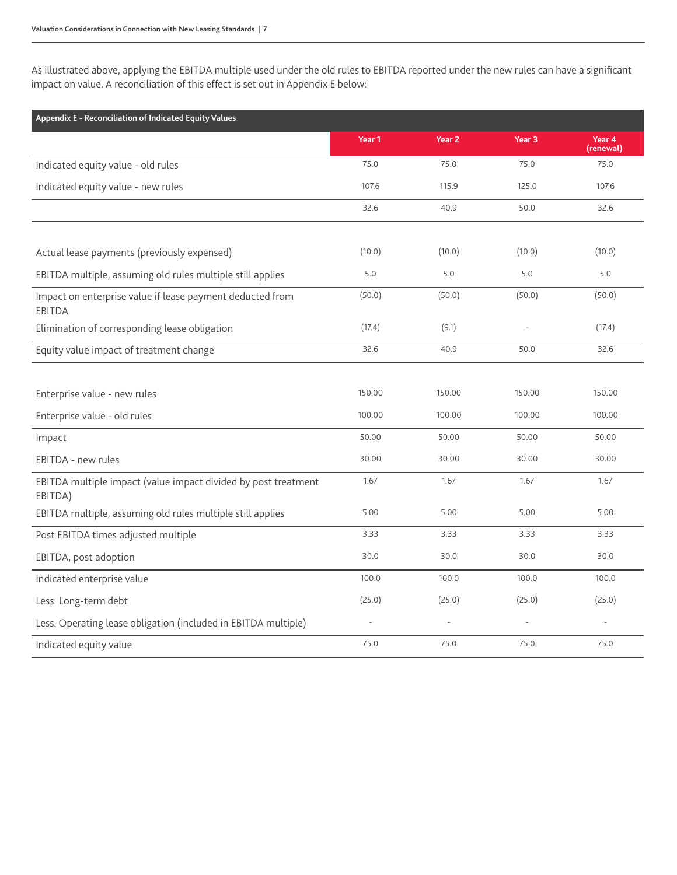As illustrated above, applying the EBITDA multiple used under the old rules to EBITDA reported under the new rules can have a significant impact on value. A reconciliation of this effect is set out in Appendix E below:

| Appendix E - Reconciliation of Indicated Equity Values                     |                |                   |                   |                     |
|----------------------------------------------------------------------------|----------------|-------------------|-------------------|---------------------|
|                                                                            | Year 1         | Year <sub>2</sub> | Year <sub>3</sub> | Year 4<br>(renewal) |
| Indicated equity value - old rules                                         | 75.0           | 75.0              | 75.0              | 75.0                |
| Indicated equity value - new rules                                         | 107.6          | 115.9             | 125.0             | 107.6               |
|                                                                            | 32.6           | 40.9              | 50.0              | 32.6                |
|                                                                            |                |                   |                   |                     |
| Actual lease payments (previously expensed)                                | (10.0)         | (10.0)            | (10.0)            | (10.0)              |
| EBITDA multiple, assuming old rules multiple still applies                 | 5.0            | 5.0               | 5.0               | 5.0                 |
| Impact on enterprise value if lease payment deducted from<br><b>EBITDA</b> | (50.0)         | (50.0)            | (50.0)            | (50.0)              |
| Elimination of corresponding lease obligation                              | (17.4)         | (9.1)             |                   | (17.4)              |
| Equity value impact of treatment change                                    | 32.6           | 40.9              | 50.0              | 32.6                |
|                                                                            |                |                   |                   |                     |
| Enterprise value - new rules                                               | 150.00         | 150.00            | 150.00            | 150.00              |
| Enterprise value - old rules                                               | 100.00         | 100.00            | 100.00            | 100.00              |
| Impact                                                                     | 50.00          | 50.00             | 50.00             | 50.00               |
| EBITDA - new rules                                                         | 30.00          | 30.00             | 30.00             | 30.00               |
| EBITDA multiple impact (value impact divided by post treatment<br>EBITDA)  | 1.67           | 1.67              | 1.67              | 1.67                |
| EBITDA multiple, assuming old rules multiple still applies                 | 5.00           | 5.00              | 5.00              | 5.00                |
| Post EBITDA times adjusted multiple                                        | 3.33           | 3.33              | 3.33              | 3.33                |
| EBITDA, post adoption                                                      | 30.0           | 30.0              | 30.0              | 30.0                |
| Indicated enterprise value                                                 | 100.0          | 100.0             | 100.0             | 100.0               |
| Less: Long-term debt                                                       | (25.0)         | (25.0)            | (25.0)            | (25.0)              |
| Less: Operating lease obligation (included in EBITDA multiple)             | $\overline{a}$ |                   |                   |                     |
| Indicated equity value                                                     | 75.0           | 75.0              | 75.0              | 75.0                |